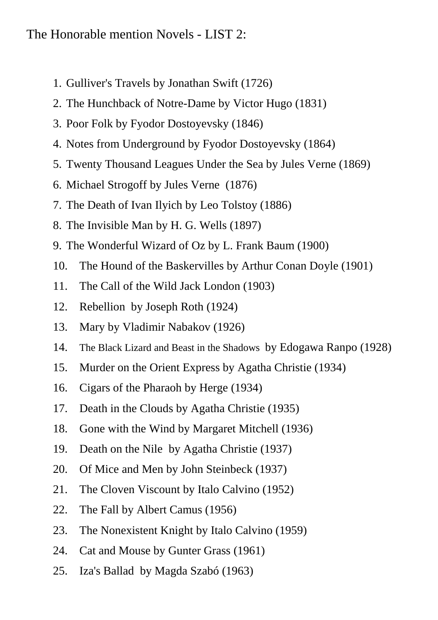## The Honorable mention Novels - LIST 2:

- 1. Gulliver's Travels by Jonathan Swift (1726)
- 2. The Hunchback of Notre-Dame by Victor Hugo (1831)
- 3. Poor Folk by Fyodor Dostoyevsky (1846)
- 4. Notes from Underground by Fyodor Dostoyevsky (1864)
- 5. Twenty Thousand Leagues Under the Sea by Jules Verne (1869)
- 6. Michael Strogoff by Jules Verne (1876)
- 7. The Death of Ivan Ilyich by Leo Tolstoy (1886)
- 8. The Invisible Man by H. G. Wells (1897)
- 9. The Wonderful Wizard of Oz by L. Frank Baum (1900)
- 10. The Hound of the Baskervilles by Arthur Conan Doyle (1901)
- 11. The Call of the Wild Jack London (1903)
- 12. Rebellion by Joseph Roth (1924)
- 13. Mary by Vladimir Nabakov (1926)
- 14. The Black Lizard and Beast in the Shadows by Edogawa Ranpo (1928)
- 15. Murder on the Orient Express by Agatha Christie (1934)
- 16. Cigars of the Pharaoh by Herge (1934)
- 17. Death in the Clouds by Agatha Christie (1935)
- 18. Gone with the Wind by Margaret Mitchell (1936)
- 19. Death on the Nile by Agatha Christie (1937)
- 20. Of Mice and Men by John Steinbeck (1937)
- 21. The Cloven Viscount by Italo Calvino (1952)
- 22. The Fall by Albert Camus (1956)
- 23. The Nonexistent Knight by Italo Calvino (1959)
- 24. Cat and Mouse by Gunter Grass (1961)
- 25. Iza's Ballad by Magda Szabó (1963)